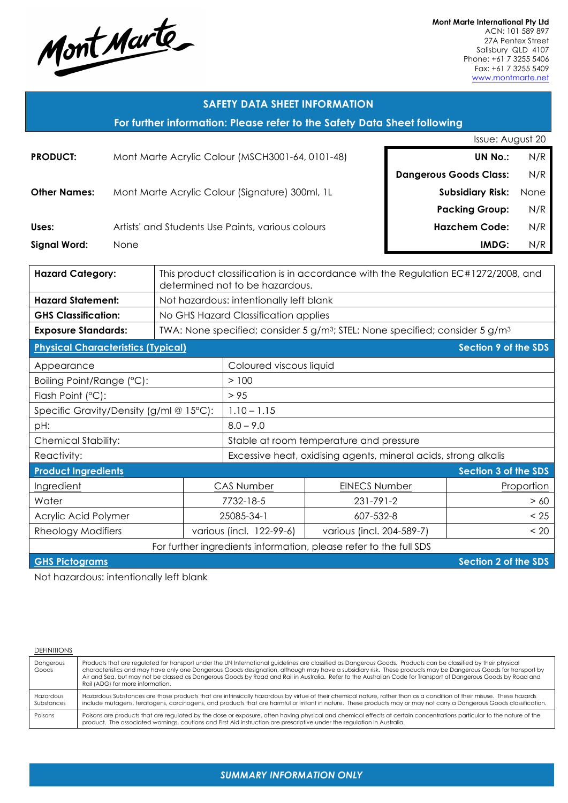

**Mont Marte International Pty Ltd** ACN: 101 589 897 27A Pentex Street Salisbury QLD 4107 Phone: +61 7 3255 5406 Fax: +61 7 3255 5409 www.montmarte.net

# **SAFETY DATA SHEET INFORMATION**

**For further information: Please refer to the Safety Data Sheet following**

|                                                                                                                                                                                                                                     |                                                                                                                                                                                                                                | Issue: August 20              |      |
|-------------------------------------------------------------------------------------------------------------------------------------------------------------------------------------------------------------------------------------|--------------------------------------------------------------------------------------------------------------------------------------------------------------------------------------------------------------------------------|-------------------------------|------|
| <b>PRODUCT:</b>                                                                                                                                                                                                                     | Mont Marte Acrylic Colour (MSCH3001-64, 0101-48)                                                                                                                                                                               | <b>UN No.:</b>                | N/R  |
|                                                                                                                                                                                                                                     |                                                                                                                                                                                                                                | <b>Dangerous Goods Class:</b> | N/R  |
| <b>Other Names:</b>                                                                                                                                                                                                                 | Mont Marte Acrylic Colour (Signature) 300ml, 1L                                                                                                                                                                                | <b>Subsidiary Risk:</b>       | None |
|                                                                                                                                                                                                                                     |                                                                                                                                                                                                                                | <b>Packing Group:</b>         | N/R  |
| Uses:                                                                                                                                                                                                                               | Artists' and Students Use Paints, various colours                                                                                                                                                                              | <b>Hazchem Code:</b>          | N/R  |
| <b>Signal Word:</b>                                                                                                                                                                                                                 | <b>None</b>                                                                                                                                                                                                                    | IMDG:                         | N/R  |
| <b>The contract of the state of the state of the state of the state of the state of the state of the state of the state of the state of the state of the state of the state of the state of the state of the state of the state</b> | THE STATE IN THE CHARGE IS A RELEASED ON THE HOLD CONTACT ON A RELEASED ON A RELEASED ON A RELEASED ON A RELEASED ON A RELEASED ON A RELEASED ON A RELEASED ON A RELEASED ON A RELEASED ON A RELEASED ON A RELEASED ON A RELEA |                               |      |

| <b>Hazard Category:</b>                           |                                         | This product classification is in accordance with the Regulation EC#1272/2008, and<br>determined not to be hazardous. |                                                                                    |                      |  |
|---------------------------------------------------|-----------------------------------------|-----------------------------------------------------------------------------------------------------------------------|------------------------------------------------------------------------------------|----------------------|--|
| <b>Hazard Statement:</b>                          | Not hazardous: intentionally left blank |                                                                                                                       |                                                                                    |                      |  |
| <b>GHS Classification:</b>                        |                                         | No GHS Hazard Classification applies                                                                                  |                                                                                    |                      |  |
| <b>Exposure Standards:</b>                        |                                         |                                                                                                                       | TWA: None specified; consider 5 $g/m^3$ ; STEL: None specified; consider 5 $g/m^3$ |                      |  |
| <b>Physical Characteristics (Typical)</b>         |                                         |                                                                                                                       |                                                                                    | Section 9 of the SDS |  |
| Appearance                                        |                                         | Coloured viscous liquid                                                                                               |                                                                                    |                      |  |
| Boiling Point/Range (°C):                         |                                         | >100                                                                                                                  |                                                                                    |                      |  |
| Flash Point (°C):                                 |                                         | > 95                                                                                                                  |                                                                                    |                      |  |
| Specific Gravity/Density (g/ml @ $15^{\circ}$ C): |                                         | $1.10 - 1.15$                                                                                                         |                                                                                    |                      |  |
| pH:                                               |                                         | $8.0 - 9.0$                                                                                                           |                                                                                    |                      |  |
| <b>Chemical Stability:</b>                        |                                         | Stable at room temperature and pressure                                                                               |                                                                                    |                      |  |
| Reactivity:                                       |                                         | Excessive heat, oxidising agents, mineral acids, strong alkalis                                                       |                                                                                    |                      |  |
| <b>Product Ingredients</b>                        |                                         |                                                                                                                       |                                                                                    | Section 3 of the SDS |  |
| Ingredient                                        |                                         | <b>CAS Number</b>                                                                                                     | <b>EINECS Number</b>                                                               | Proportion           |  |
| Water                                             |                                         | 7732-18-5                                                                                                             | 231-791-2                                                                          | > 60                 |  |
| Acrylic Acid Polymer                              |                                         | 25085-34-1                                                                                                            | 607-532-8                                                                          | < 25                 |  |
| Rheology Modifiers                                |                                         | various (incl. 122-99-6)                                                                                              | various (incl. 204-589-7)                                                          | < 20                 |  |

For further ingredients information, please refer to the full SDS

**GHS Pictograms Section 2 of the SDS** 

Not hazardous: intentionally left blank

#### DEFINITIONS

| Dangerous<br>Goods      | Products that are regulated for transport under the UN International guidelines are classified as Dangerous Goods. Products can be classified by their physical<br>characteristics and may have only one Dangerous Goods designation, although may have a subsidiary risk. These products may be Dangerous Goods for transport by<br>Air and Sea, but may not be classed as Dangerous Goods by Road and Rail in Australia. Refer to the Australian Code for Transport of Dangerous Goods by Road and<br>Rail (ADG) for more information. |
|-------------------------|------------------------------------------------------------------------------------------------------------------------------------------------------------------------------------------------------------------------------------------------------------------------------------------------------------------------------------------------------------------------------------------------------------------------------------------------------------------------------------------------------------------------------------------|
| Hazardous<br>Substances | Hazardous Substances are those products that are intrinsically hazardous by virtue of their chemical nature, rather than as a condition of their misuse. These hazards<br>include mutagens, teratogens, carcinogens, and products that are harmful or irritant in nature. These products may or may not carry a Dangerous Goods classification.                                                                                                                                                                                          |
| Poisons                 | Poisons are products that are regulated by the dose or exposure, often having physical and chemical effects at certain concentrations particular to the nature of the<br>product. The associated warnings, cautions and First Aid instruction are prescriptive under the regulation in Australia.                                                                                                                                                                                                                                        |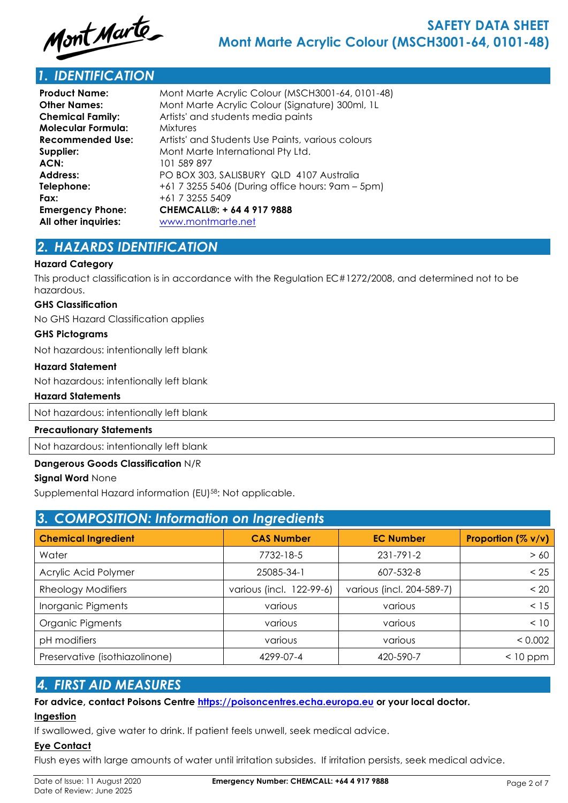

# *1. IDENTIFICATION*

| <b>Product Name:</b>      | Mont Marte Acrylic Colour (MSCH3001-64, 0101-48)  |
|---------------------------|---------------------------------------------------|
| <b>Other Names:</b>       | Mont Marte Acrylic Colour (Signature) 300ml, 1L   |
| <b>Chemical Family:</b>   | Artists' and students media paints                |
| <b>Molecular Formula:</b> | <b>Mixtures</b>                                   |
| <b>Recommended Use:</b>   | Artists' and Students Use Paints, various colours |
| Supplier:                 | Mont Marte International Pty Ltd.                 |
| ACN:                      | 101 589 897                                       |
| <b>Address:</b>           | PO BOX 303, SALISBURY QLD 4107 Australia          |
| Telephone:                | +61 7 3255 5406 (During office hours: 9am – 5pm)  |
| Fax:                      | +61 7 3255 5409                                   |
| <b>Emergency Phone:</b>   | CHEMCALL®: + 64 4 917 9888                        |
| All other inquiries:      | www.montmarte.net                                 |
|                           |                                                   |

# *2. HAZARDS IDENTIFICATION*

### **Hazard Category**

This product classification is in accordance with the Regulation EC#1272/2008, and determined not to be hazardous.

#### **GHS Classification**

No GHS Hazard Classification applies

#### **GHS Pictograms**

Not hazardous: intentionally left blank

#### **Hazard Statement**

Not hazardous: intentionally left blank

### **Hazard Statements**

Not hazardous: intentionally left blank

#### **Precautionary Statements**

Not hazardous: intentionally left blank

### **Dangerous Goods Classification** N/R

### **Signal Word** None

Supplemental Hazard information (EU)<sup>58</sup>: Not applicable.

| 3. COMPOSITION: Information on Ingredients |                          |                           |                    |  |  |
|--------------------------------------------|--------------------------|---------------------------|--------------------|--|--|
| <b>Chemical Ingredient</b>                 | <b>CAS Number</b>        | <b>EC Number</b>          | Proportion (% v/v) |  |  |
| Water                                      | 7732-18-5                | 231-791-2                 | > 60               |  |  |
| Acrylic Acid Polymer                       | 25085-34-1               | 607-532-8                 | < 25               |  |  |
| <b>Rheology Modifiers</b>                  | various (incl. 122-99-6) | various (incl. 204-589-7) | < 20               |  |  |
| Inorganic Pigments                         | various                  | various                   | < 15               |  |  |
| Organic Pigments                           | various                  | various                   | < 10               |  |  |
| pH modifiers                               | various                  | various                   | < 0.002            |  |  |
| Preservative (isothiazolinone)             | 4299-07-4                | 420-590-7                 | $<$ 10 ppm         |  |  |

## *4. FIRST AID MEASURES*

**For advice, contact Poisons Centre https://poisoncentres.echa.europa.eu or your local doctor.**

### **Ingestion**

If swallowed, give water to drink. If patient feels unwell, seek medical advice.

### **Eye Contact**

Flush eyes with large amounts of water until irritation subsides. If irritation persists, seek medical advice.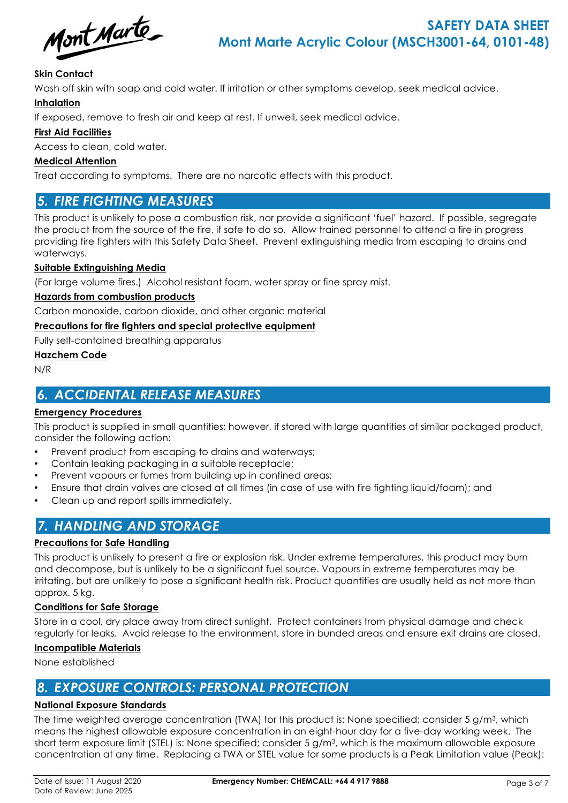Mont Marte

### **Skin Contact**

Wash off skin with soap and cold water. If irritation or other symptoms develop, seek medical advice.

### **Inhalation**

If exposed, remove to fresh air and keep at rest. If unwell, seek medical advice.

### **First Aid Facilities**

Access to clean, cold water.

### **Medical Attention**

Treat according to symptoms. There are no narcotic effects with this product.

# *5. FIRE FIGHTING MEASURES*

This product is unlikely to pose a combustion risk, nor provide a significant 'fuel' hazard. If possible, segregate the product from the source of the fire, if safe to do so. Allow trained personnel to attend a fire in progress providing fire fighters with this Safety Data Sheet. Prevent extinguishing media from escaping to drains and waterways.

### **Suitable Extinguishing Media**

(For large volume fires.) Alcohol resistant foam, water spray or fine spray mist.

### **Hazards from combustion products**

Carbon monoxide, carbon dioxide, and other organic material

### **Precautions for fire fighters and special protective equipment**

Fully self-contained breathing apparatus

### **Hazchem Code**

N/R

# *6. ACCIDENTAL RELEASE MEASURES*

### **Emergency Procedures**

This product is supplied in small quantities; however, if stored with large quantities of similar packaged product, consider the following action:

- Prevent product from escaping to drains and waterways;
- Contain leaking packaging in a suitable receptacle;
- Prevent vapours or fumes from building up in confined areas;
- Ensure that drain valves are closed at all times (in case of use with fire fighting liquid/foam); and
- Clean up and report spills immediately.

# *7. HANDLING AND STORAGE*

### **Precautions for Safe Handling**

This product is unlikely to present a fire or explosion risk. Under extreme temperatures, this product may burn and decompose, but is unlikely to be a significant fuel source. Vapours in extreme temperatures may be irritating, but are unlikely to pose a significant health risk. Product quantities are usually held as not more than approx. 5 kg.

### **Conditions for Safe Storage**

Store in a cool, dry place away from direct sunlight. Protect containers from physical damage and check regularly for leaks. Avoid release to the environment, store in bunded areas and ensure exit drains are closed.

### **Incompatible Materials**

None established

# *8. EXPOSURE CONTROLS: PERSONAL PROTECTION*

### **National Exposure Standards**

The time weighted average concentration (TWA) for this product is: None specified; consider 5 g/m3, which means the highest allowable exposure concentration in an eight-hour day for a five-day working week. The short term exposure limit (STEL) is: None specified; consider 5 g/m3, which is the maximum allowable exposure concentration at any time. Replacing a TWA or STEL value for some products is a Peak Limitation value (Peak):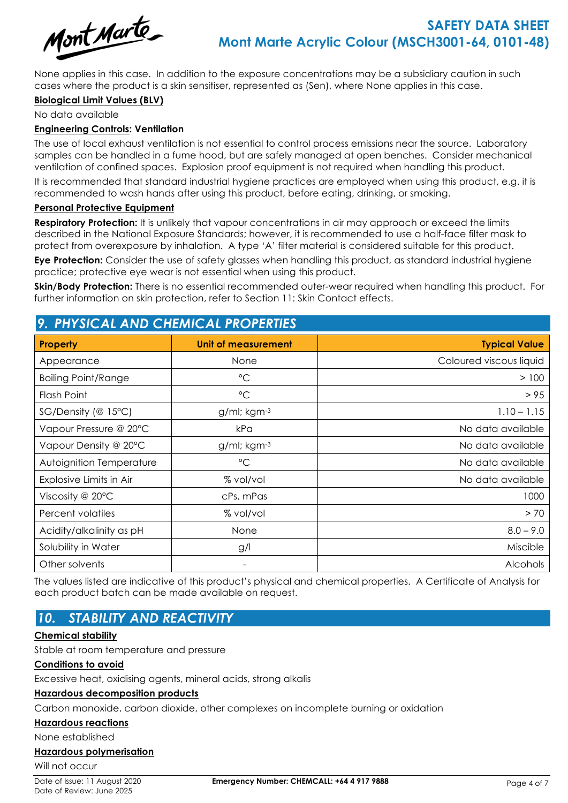

None applies in this case. In addition to the exposure concentrations may be a subsidiary caution in such cases where the product is a skin sensitiser, represented as (Sen), where None applies in this case.

### **Biological Limit Values (BLV)**

No data available

### **Engineering Controls: Ventilation**

The use of local exhaust ventilation is not essential to control process emissions near the source. Laboratory samples can be handled in a fume hood, but are safely managed at open benches. Consider mechanical ventilation of confined spaces. Explosion proof equipment is not required when handling this product.

It is recommended that standard industrial hygiene practices are employed when using this product, e.g. it is recommended to wash hands after using this product, before eating, drinking, or smoking.

### **Personal Protective Equipment**

**Respiratory Protection:** It is unlikely that vapour concentrations in air may approach or exceed the limits described in the National Exposure Standards; however, it is recommended to use a half-face filter mask to protect from overexposure by inhalation. A type 'A' filter material is considered suitable for this product.

**Eye Protection:** Consider the use of safety glasses when handling this product, as standard industrial hygiene practice; protective eye wear is not essential when using this product.

**Skin/Body Protection:** There is no essential recommended outer-wear required when handling this product. For further information on skin protection, refer to Section 11: Skin Contact effects.

| <u>The vital interview of the vital interview</u> |                            |                         |  |  |
|---------------------------------------------------|----------------------------|-------------------------|--|--|
| <b>Property</b>                                   | <b>Unit of measurement</b> | <b>Typical Value</b>    |  |  |
| Appearance                                        | None                       | Coloured viscous liquid |  |  |
| <b>Boiling Point/Range</b>                        | $\rm ^{\circ}C$            | >100                    |  |  |
| Flash Point                                       | $\rm ^{\circ}C$            | > 95                    |  |  |
| SG/Density (@ 15°C)                               | g/ml; kgm-3                | $1.10 - 1.15$           |  |  |
| Vapour Pressure @ 20°C                            | kPa                        | No data available       |  |  |
| Vapour Density @ 20°C                             | $g$ /ml; kgm $-3$          | No data available       |  |  |
| Autoignition Temperature                          | $\rm ^{\circ}C$            | No data available       |  |  |
| Explosive Limits in Air                           | % vol/vol                  | No data available       |  |  |
| Viscosity @ 20°C                                  | cPs, mPas                  | 1000                    |  |  |
| Percent volatiles                                 | % vol/vol                  | > 70                    |  |  |
| Acidity/alkalinity as pH                          | None                       | $8.0 - 9.0$             |  |  |
| Solubility in Water                               | g/l                        | Miscible                |  |  |
| Other solvents                                    |                            | Alcohols                |  |  |

# *9. PHYSICAL AND CHEMICAL PROPERTIES*

The values listed are indicative of this product's physical and chemical properties. A Certificate of Analysis for each product batch can be made available on request.

# *10. STABILITY AND REACTIVITY*

### **Chemical stability**

Stable at room temperature and pressure

### **Conditions to avoid**

Excessive heat, oxidising agents, mineral acids, strong alkalis

### **Hazardous decomposition products**

Carbon monoxide, carbon dioxide, other complexes on incomplete burning or oxidation

### **Hazardous reactions**

None established

### **Hazardous polymerisation**

Will not occur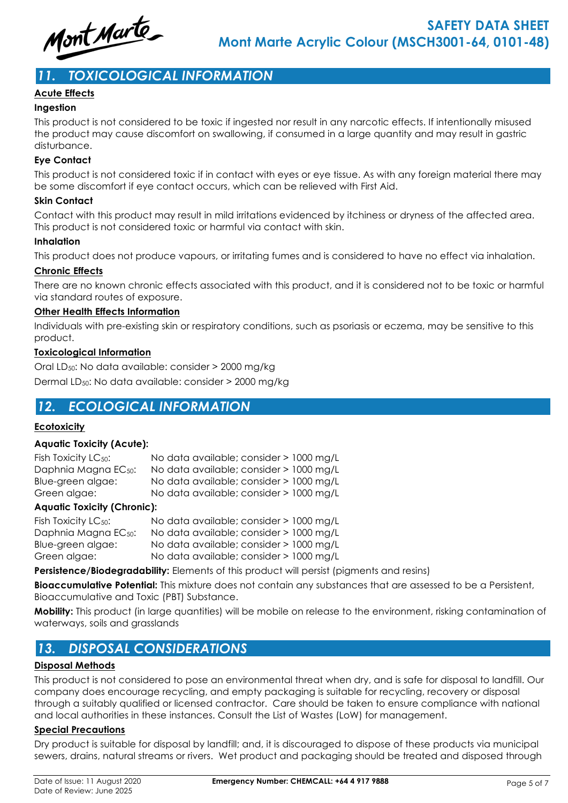

# *11. TOXICOLOGICAL INFORMATION*

### **Acute Effects**

### **Ingestion**

This product is not considered to be toxic if ingested nor result in any narcotic effects. If intentionally misused the product may cause discomfort on swallowing, if consumed in a large quantity and may result in gastric disturbance.

### **Eye Contact**

This product is not considered toxic if in contact with eyes or eye tissue. As with any foreign material there may be some discomfort if eye contact occurs, which can be relieved with First Aid.

### **Skin Contact**

Contact with this product may result in mild irritations evidenced by itchiness or dryness of the affected area. This product is not considered toxic or harmful via contact with skin.

### **Inhalation**

This product does not produce vapours, or irritating fumes and is considered to have no effect via inhalation.

### **Chronic Effects**

There are no known chronic effects associated with this product, and it is considered not to be toxic or harmful via standard routes of exposure.

### **Other Health Effects Information**

Individuals with pre-existing skin or respiratory conditions, such as psoriasis or eczema, may be sensitive to this product.

### **Toxicological Information**

Oral LD50: No data available: consider > 2000 mg/kg Dermal LD50: No data available: consider > 2000 mg/kg

# *12. ECOLOGICAL INFORMATION*

### **Ecotoxicity**

### **Aquatic Toxicity (Acute):**

| Fish Toxicity LC <sub>50</sub> : | No data available; consider > 1000 mg/L |  |
|----------------------------------|-----------------------------------------|--|
| Daphnia Magna EC <sub>50</sub> : | No data available; consider > 1000 mg/L |  |
| Blue-green algae:                | No data available; consider > 1000 mg/L |  |
| Green algae:                     | No data available; consider > 1000 mg/L |  |

### **Aquatic Toxicity (Chronic):**

| Fish Toxicity LC <sub>50</sub> : | No data available; consider > 1000 mg/L |  |
|----------------------------------|-----------------------------------------|--|
| Daphnia Magna EC <sub>50</sub> : | No data available; consider > 1000 mg/L |  |
| Blue-green algae:                | No data available; consider > 1000 mg/L |  |
| Green algae:                     | No data available; consider > 1000 mg/L |  |

**Persistence/Biodegradability:** Elements of this product will persist (pigments and resins)

**Bioaccumulative Potential:** This mixture does not contain any substances that are assessed to be a Persistent, Bioaccumulative and Toxic (PBT) Substance.

**Mobility:** This product (in large quantities) will be mobile on release to the environment, risking contamination of waterways, soils and grasslands

# *13. DISPOSAL CONSIDERATIONS*

### **Disposal Methods**

This product is not considered to pose an environmental threat when dry, and is safe for disposal to landfill. Our company does encourage recycling, and empty packaging is suitable for recycling, recovery or disposal through a suitably qualified or licensed contractor. Care should be taken to ensure compliance with national and local authorities in these instances. Consult the List of Wastes (LoW) for management.

### **Special Precautions**

Dry product is suitable for disposal by landfill; and, it is discouraged to dispose of these products via municipal sewers, drains, natural streams or rivers. Wet product and packaging should be treated and disposed through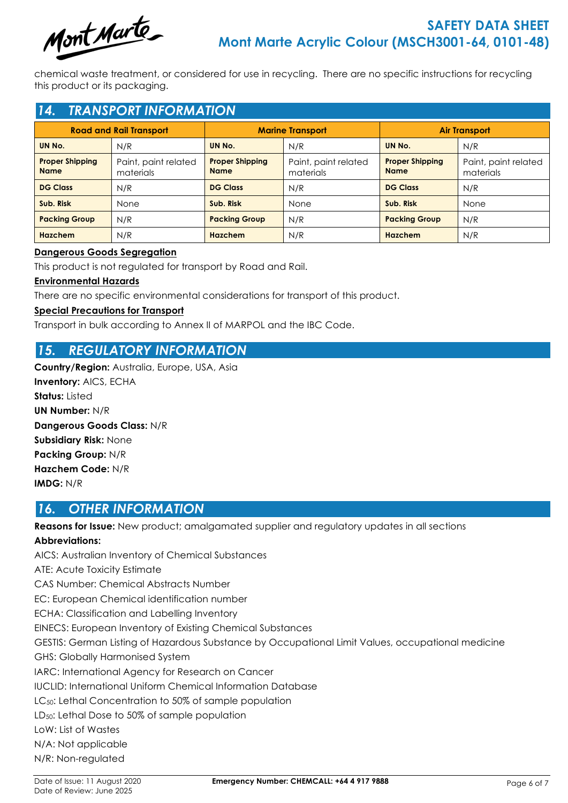

chemical waste treatment, or considered for use in recycling. There are no specific instructions for recycling this product or its packaging.

# *14. TRANSPORT INFORMATION*

| <b>Road and Rail Transport</b>        |                                   | <b>Marine Transport</b>               |                                   | <b>Air Transport</b>                  |                                   |
|---------------------------------------|-----------------------------------|---------------------------------------|-----------------------------------|---------------------------------------|-----------------------------------|
| UN No.                                | N/R                               | UN No.                                | N/R                               | UN No.                                | N/R                               |
| <b>Proper Shipping</b><br><b>Name</b> | Paint, paint related<br>materials | <b>Proper Shipping</b><br><b>Name</b> | Paint, paint related<br>materials | <b>Proper Shipping</b><br><b>Name</b> | Paint, paint related<br>materials |
| <b>DG Class</b>                       | N/R                               | <b>DG Class</b>                       | N/R                               | <b>DG Class</b>                       | N/R                               |
| Sub. Risk                             | None                              | Sub. Risk                             | None                              | Sub. Risk                             | None                              |
| <b>Packing Group</b>                  | N/R                               | <b>Packing Group</b>                  | N/R                               | <b>Packing Group</b>                  | N/R                               |
| <b>Hazchem</b>                        | N/R                               | <b>Hazchem</b>                        | N/R                               | Hazchem                               | N/R                               |

### **Dangerous Goods Segregation**

This product is not regulated for transport by Road and Rail.

### **Environmental Hazards**

There are no specific environmental considerations for transport of this product.

### **Special Precautions for Transport**

Transport in bulk according to Annex II of MARPOL and the IBC Code.

# *15. REGULATORY INFORMATION*

**Country/Region:** Australia, Europe, USA, Asia **Inventory:** AICS, ECHA **Status:** Listed **UN Number:** N/R **Dangerous Goods Class:** N/R **Subsidiary Risk:** None **Packing Group:** N/R **Hazchem Code:** N/R **IMDG:** N/R

# *16. OTHER INFORMATION*

**Reasons for Issue:** New product; amalgamated supplier and regulatory updates in all sections

### **Abbreviations:**

AICS: Australian Inventory of Chemical Substances ATE: Acute Toxicity Estimate CAS Number: Chemical Abstracts Number EC: European Chemical identification number ECHA: Classification and Labelling Inventory EINECS: European Inventory of Existing Chemical Substances GESTIS: German Listing of Hazardous Substance by Occupational Limit Values, occupational medicine GHS: Globally Harmonised System IARC: International Agency for Research on Cancer IUCLID: International Uniform Chemical Information Database LC<sub>50</sub>: Lethal Concentration to 50% of sample population LD50: Lethal Dose to 50% of sample population LoW: List of Wastes N/A: Not applicable N/R: Non-regulated